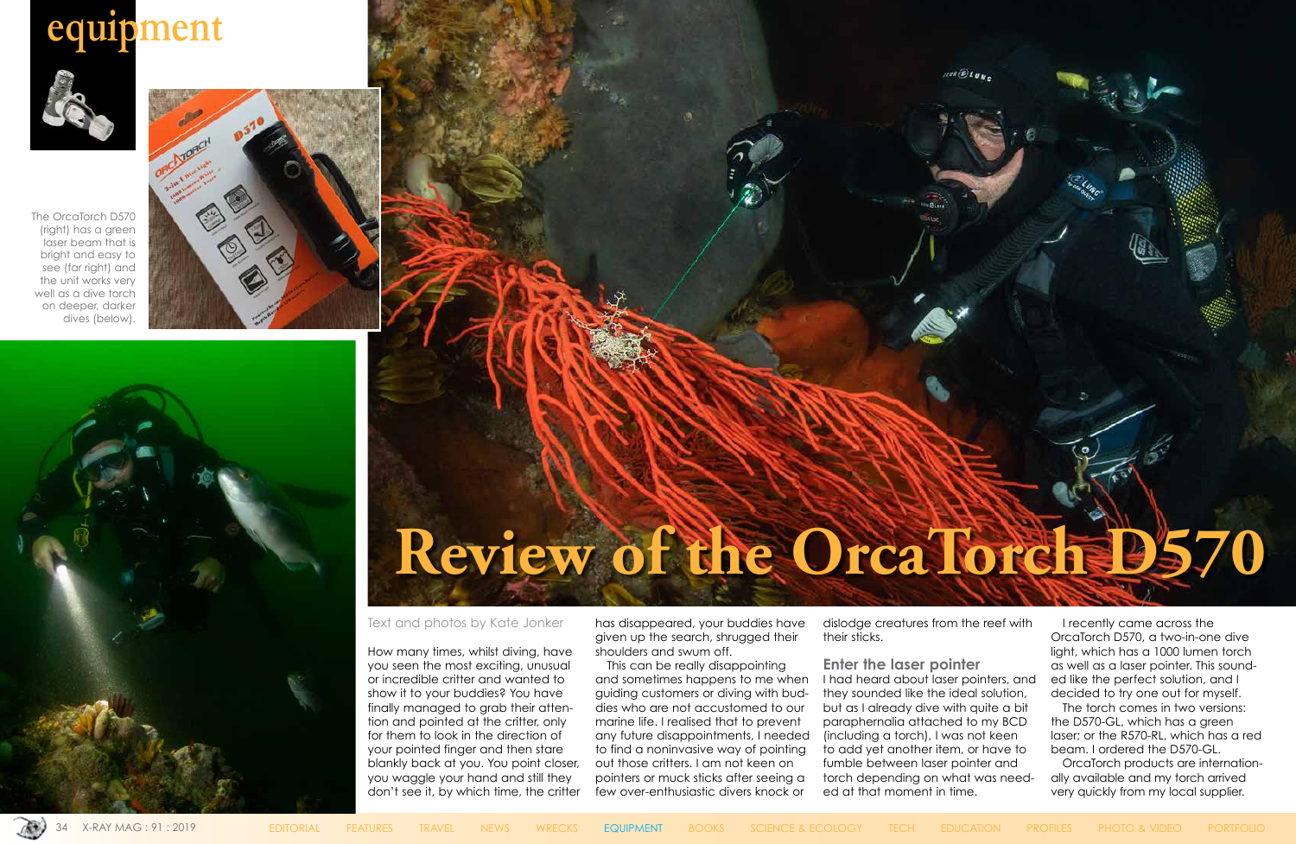# **equipment**



#### Text and photos by Kate Jonker

How many times, whilst diving, have you seen the most exciting, unusual or incredible critter and wanted to show it to your buddies? You have finally managed to grab their attention and pointed at the critter, only for them to look in the direction of your pointed finger and then stare blankly back at you. You point closer, you waggle your hand and still they don't see it, by which time, the critter

has disappeared, your buddies have given up the search, shrugged their shoulders and swum off.

This can be really disappointing and sometimes happens to me when guiding customers or diving with buddies who are not accustomed to our marine life. I realised that to prevent any future disappointments, I needed to find a noninvasive way of pointing out those critters. I am not keen on pointers or muck sticks after seeing a few over-enthusiastic divers knock or

dislodge creatures from the reef with their sticks.

**Enter the laser pointer** I had heard about laser pointers, and they sounded like the ideal solution, but as I already dive with quite a bit paraphernalia attached to my BCD (including a torch), I was not keen to add yet another item, or have to fumble between laser pointer and torch depending on what was needed at that moment in time.



I recently came across the OrcaTorch D570, a two-in-one dive light, which has a 1000 lumen torch as well as a laser pointer. This sounded like the perfect solution, and I decided to try one out for myself.

The torch comes in two versions: the D570-GL, which has a green laser; or the R570-RL, which has a red beam. I ordered the D570-GL.

OrcaTorch products are internationally available and my torch arrived very quickly from my local supplier.



The OrcaTorch D570 (right) has a green laser beam that is bright and easy to see (far right) and the unit works very well as a dive torch on deeper, darker dives (below).